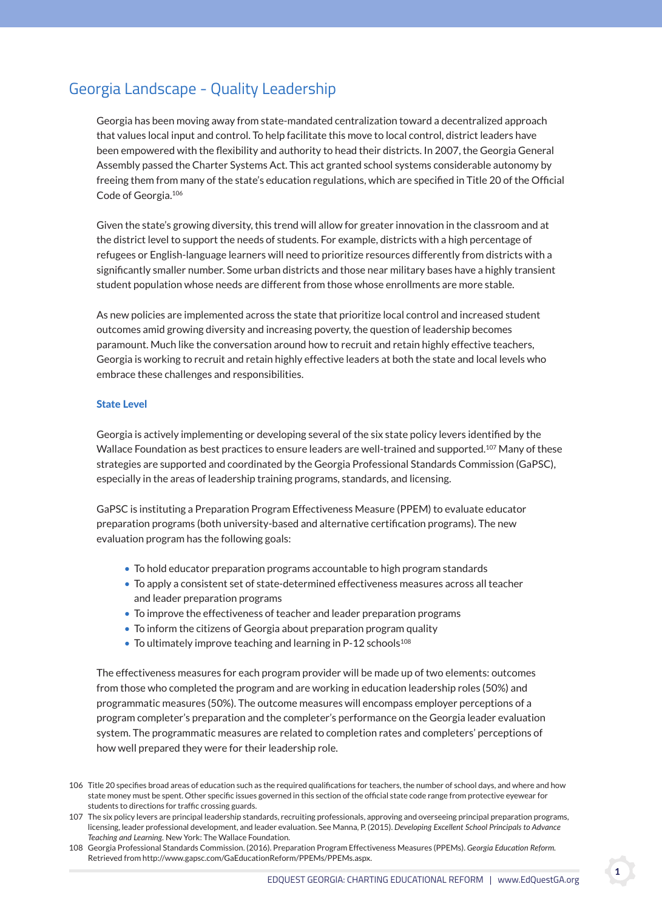# Georgia Landscape - Quality Leadership

 Georgia has been moving away from state-mandated centralization toward a decentralized approach that values local input and control. To help facilitate this move to local control, district leaders have been empowered with the flexibility and authority to head their districts. In 2007, the Georgia General Assembly passed the Charter Systems Act. This act granted school systems considerable autonomy by freeing them from many of the state's education regulations, which are specified in Title 20 of the Official Code of Georgia.106

 Given the state's growing diversity, this trend will allow for greater innovation in the classroom and at the district level to support the needs of students. For example, districts with a high percentage of refugees or English-language learners will need to prioritize resources differently from districts with a significantly smaller number. Some urban districts and those near military bases have a highly transient student population whose needs are different from those whose enrollments are more stable.

 As new policies are implemented across the state that prioritize local control and increased student outcomes amid growing diversity and increasing poverty, the question of leadership becomes paramount. Much like the conversation around how to recruit and retain highly effective teachers, Georgia is working to recruit and retain highly effective leaders at both the state and local levels who embrace these challenges and responsibilities.

## state level

 Georgia is actively implementing or developing several of the six state policy levers identified by the Wallace Foundation as best practices to ensure leaders are well-trained and supported.<sup>107</sup> Many of these strategies are supported and coordinated by the Georgia Professional Standards Commission (GaPSC), especially in the areas of leadership training programs, standards, and licensing.

 GaPSC is instituting a Preparation Program Effectiveness Measure (PPEM) to evaluate educator preparation programs (both university-based and alternative certification programs). The new evaluation program has the following goals:

- To hold educator preparation programs accountable to high program standards
- To apply a consistent set of state-determined effectiveness measures across all teacher and leader preparation programs
- To improve the effectiveness of teacher and leader preparation programs
- To inform the citizens of Georgia about preparation program quality
- To ultimately improve teaching and learning in P-12 schools<sup>108</sup>

 The effectiveness measures for each program provider will be made up of two elements: outcomes from those who completed the program and are working in education leadership roles (50%) and programmatic measures (50%). The outcome measures will encompass employer perceptions of a program completer's preparation and the completer's performance on the Georgia leader evaluation system. The programmatic measures are related to completion rates and completers' perceptions of how well prepared they were for their leadership role.

<sup>106</sup> Title 20 specifies broad areas of education such as the required qualifications for teachers, the number of school days, and where and how state money must be spent. Other specific issues governed in this section of the official state code range from protective eyewear for students to directions for traffic crossing guards.

<sup>107</sup> The six policy levers are principal leadership standards, recruiting professionals, approving and overseeing principal preparation programs, licensing, leader professional development, and leader evaluation. See Manna, P. (2015). *Developing Excellent School Principals to Advance Teaching and Learning.* New York: The Wallace Foundation.

<sup>108</sup> Georgia Professional Standards Commission. (2016). Preparation Program Effectiveness Measures (PPEMs). *Georgia Education Reform.* Retrieved from http://www.gapsc.com/GaEducationReform/PPEMs/PPEMs.aspx.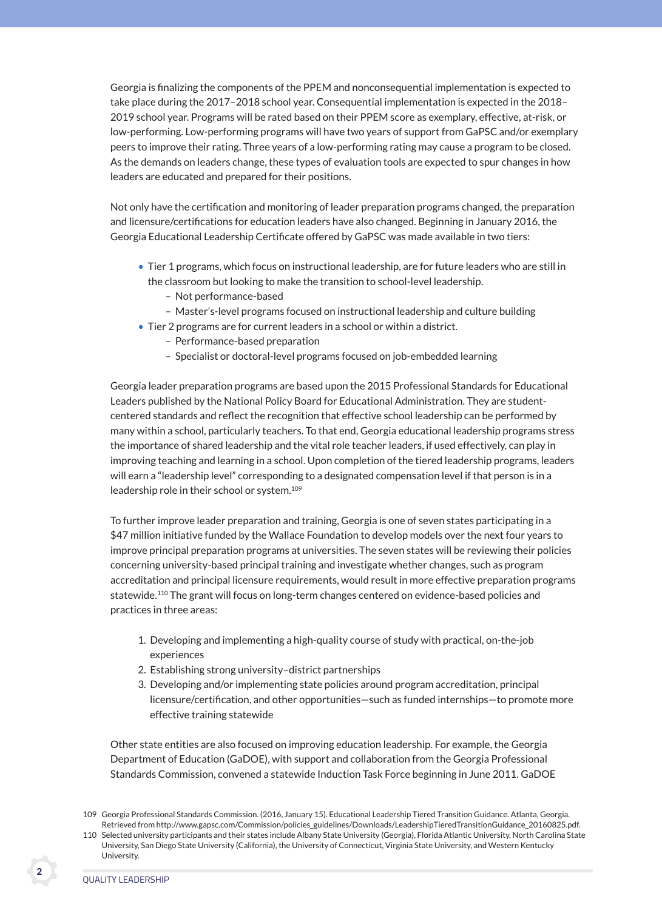Georgia is finalizing the components of the PPEM and nonconsequential implementation is expected to take place during the 2017–2018 school year. Consequential implementation is expected in the 2018– 2019 school year. Programs will be rated based on their PPEM score as exemplary, effective, at-risk, or low-performing. Low-performing programs will have two years of support from GaPSC and/or exemplary peers to improve their rating. Three years of a low-performing rating may cause a program to be closed. As the demands on leaders change, these types of evaluation tools are expected to spur changes in how leaders are educated and prepared for their positions.

 Not only have the certification and monitoring of leader preparation programs changed, the preparation and licensure/certifications for education leaders have also changed. Beginning in January 2016, the Georgia Educational Leadership Certificate offered by GaPSC was made available in two tiers:

- Tier 1 programs, which focus on instructional leadership, are for future leaders who are still in the classroom but looking to make the transition to school-level leadership.
	- Not performance-based
	- Master's-level programs focused on instructional leadership and culture building
- Tier 2 programs are for current leaders in a school or within a district.
	- Performance-based preparation
	- Specialist or doctoral-level programs focused on job-embedded learning

 Georgia leader preparation programs are based upon the 2015 Professional Standards for Educational Leaders published by the National Policy Board for Educational Administration. They are studentcentered standards and reflect the recognition that effective school leadership can be performed by many within a school, particularly teachers. To that end, Georgia educational leadership programs stress the importance of shared leadership and the vital role teacher leaders, if used effectively, can play in improving teaching and learning in a school. Upon completion of the tiered leadership programs, leaders will earn a "leadership level" corresponding to a designated compensation level if that person is in a leadership role in their school or system.109

 To further improve leader preparation and training, Georgia is one of seven states participating in a \$47 million initiative funded by the Wallace Foundation to develop models over the next four years to improve principal preparation programs at universities. The seven states will be reviewing their policies concerning university-based principal training and investigate whether changes, such as program accreditation and principal licensure requirements, would result in more effective preparation programs statewide.<sup>110</sup> The grant will focus on long-term changes centered on evidence-based policies and practices in three areas:

- 1. Developing and implementing a high-quality course of study with practical, on-the-job experiences
- 2. Establishing strong university–district partnerships
- 3. Developing and/or implementing state policies around program accreditation, principal licensure/certification, and other opportunities—such as funded internships—to promote more effective training statewide

 Other state entities are also focused on improving education leadership. For example, the Georgia Department of Education (GaDOE), with support and collaboration from the Georgia Professional Standards Commission, convened a statewide Induction Task Force beginning in June 2011. GaDOE

<sup>109</sup> Georgia Professional Standards Commission. (2016, January 15). Educational Leadership Tiered Transition Guidance. Atlanta, Georgia. Retrieved from http://www.gapsc.com/Commission/policies\_guidelines/Downloads/LeadershipTieredTransitionGuidance\_20160825.pdf.

<sup>110</sup> Selected university participants and their states include Albany State University (Georgia), Florida Atlantic University, North Carolina State University, San Diego State University (California), the University of Connecticut, Virginia State University, and Western Kentucky University.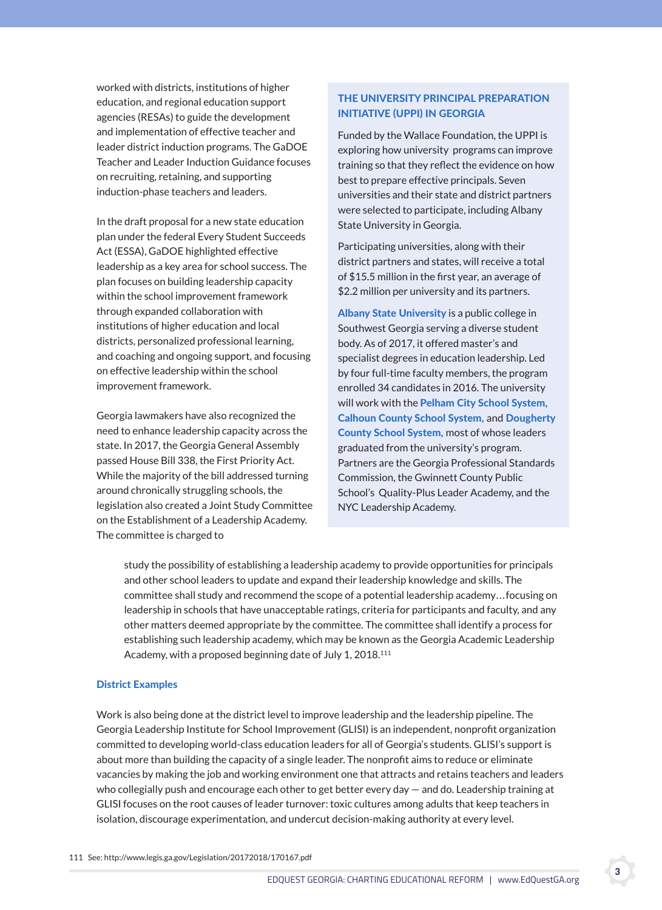worked with districts, institutions of higher education, and regional education support agencies (RESAs) to guide the development and implementation of effective teacher and leader district induction programs. The GaDOE Teacher and Leader Induction Guidance focuses on recruiting, retaining, and supporting induction-phase teachers and leaders.

 In the draft proposal for a new state education plan under the federal Every Student Succeeds Act (ESSA), GaDOE highlighted effective leadership as a key area for school success. The plan focuses on building leadership capacity within the school improvement framework through expanded collaboration with institutions of higher education and local districts, personalized professional learning, and coaching and ongoing support, and focusing on effective leadership within the school improvement framework.

 Georgia lawmakers have also recognized the need to enhance leadership capacity across the state. In 2017, the Georgia General Assembly passed House Bill 338, the First Priority Act. While the majority of the bill addressed turning around chronically struggling schools, the legislation also created a Joint Study Committee on the Establishment of a Leadership Academy. The committee is charged to

## THe universiTy PrinciPal PreParaTion iniTiaTive (uPPi) in georgia

Funded by the Wallace Foundation, the UPPI is exploring how university programs can improve training so that they reflect the evidence on how best to prepare effective principals. Seven universities and their state and district partners were selected to participate, including Albany State University in Georgia.

Participating universities, along with their district partners and states, will receive a total of \$15.5 million in the first year, an average of \$2.2 million per university and its partners.

Albany State University is a public college in Southwest Georgia serving a diverse student body. As of 2017, it offered master's and specialist degrees in education leadership. Led by four full-time faculty members, the program enrolled 34 candidates in 2016. The university will work with the Pelham City School System, Calhoun County School System, and Dougherty **County School System, most of whose leaders** graduated from the university's program. Partners are the Georgia Professional Standards Commission, the Gwinnett County Public School's Quality-Plus Leader Academy, and the NYC Leadership Academy.

study the possibility of establishing a leadership academy to provide opportunities for principals and other school leaders to update and expand their leadership knowledge and skills. The committee shall study and recommend the scope of a potential leadership academy. . . focusing on leadership in schools that have unacceptable ratings, criteria for participants and faculty, and any other matters deemed appropriate by the committee. The committee shall identify a process for establishing such leadership academy, which may be known as the Georgia Academic Leadership Academy, with a proposed beginning date of July 1, 2018.111

### **District Examples**

 Work is also being done at the district level to improve leadership and the leadership pipeline. The Georgia Leadership Institute for School Improvement (GLISI) is an independent, nonprofit organization committed to developing world-class education leaders for all of Georgia's students. GLISI's support is about more than building the capacity of a single leader. The nonprofit aims to reduce or eliminate vacancies by making the job and working environment one that attracts and retains teachers and leaders who collegially push and encourage each other to get better every day — and do. Leadership training at GLISI focuses on the root causes of leader turnover: toxic cultures among adults that keep teachers in isolation, discourage experimentation, and undercut decision-making authority at every level.